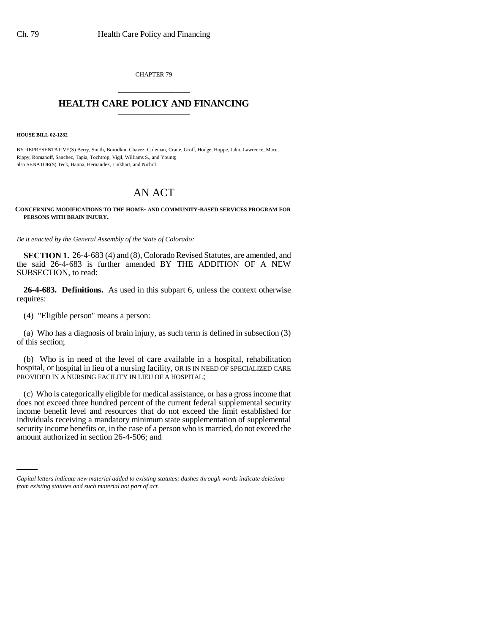CHAPTER 79 \_\_\_\_\_\_\_\_\_\_\_\_\_\_\_

## **HEALTH CARE POLICY AND FINANCING** \_\_\_\_\_\_\_\_\_\_\_\_\_\_\_

**HOUSE BILL 02-1282**

BY REPRESENTATIVE(S) Berry, Smith, Borodkin, Chavez, Coleman, Crane, Groff, Hodge, Hoppe, Jahn, Lawrence, Mace, Rippy, Romanoff, Sanchez, Tapia, Tochtrop, Vigil, Williams S., and Young; also SENATOR(S) Teck, Hanna, Hernandez, Linkhart, and Nichol.

## AN ACT

## **CONCERNING MODIFICATIONS TO THE HOME- AND COMMUNITY-BASED SERVICES PROGRAM FOR PERSONS WITH BRAIN INJURY.**

*Be it enacted by the General Assembly of the State of Colorado:*

**SECTION 1.** 26-4-683 (4) and (8), Colorado Revised Statutes, are amended, and the said 26-4-683 is further amended BY THE ADDITION OF A NEW SUBSECTION, to read:

**26-4-683. Definitions.** As used in this subpart 6, unless the context otherwise requires:

(4) "Eligible person" means a person:

(a) Who has a diagnosis of brain injury, as such term is defined in subsection (3) of this section;

(b) Who is in need of the level of care available in a hospital, rehabilitation hospital, or hospital in lieu of a nursing facility, OR IS IN NEED OF SPECIALIZED CARE PROVIDED IN A NURSING FACILITY IN LIEU OF A HOSPITAL;

security income benefits or, in the case of a person who is married, do not exceed the (c) Who is categorically eligible for medical assistance, or has a gross income that does not exceed three hundred percent of the current federal supplemental security income benefit level and resources that do not exceed the limit established for individuals receiving a mandatory minimum state supplementation of supplemental amount authorized in section 26-4-506; and

*Capital letters indicate new material added to existing statutes; dashes through words indicate deletions from existing statutes and such material not part of act.*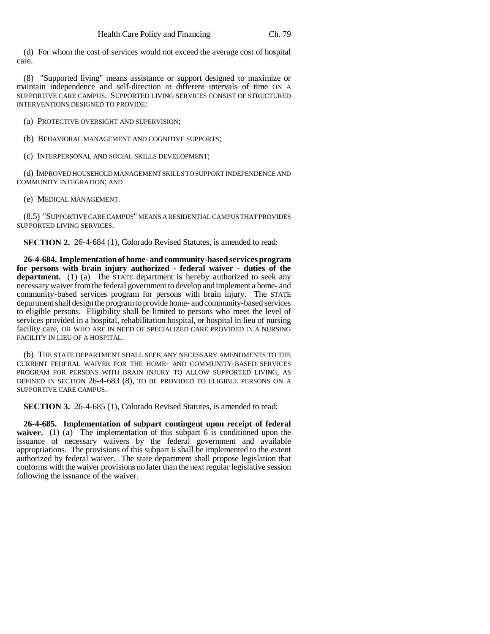(d) For whom the cost of services would not exceed the average cost of hospital care.

(8) "Supported living" means assistance or support designed to maximize or maintain independence and self-direction at different intervals of time ON A SUPPORTIVE CARE CAMPUS. SUPPORTED LIVING SERVICES CONSIST OF STRUCTURED INTERVENTIONS DESIGNED TO PROVIDE:

(a) PROTECTIVE OVERSIGHT AND SUPERVISION;

(b) BEHAVIORAL MANAGEMENT AND COGNITIVE SUPPORTS;

(c) INTERPERSONAL AND SOCIAL SKILLS DEVELOPMENT;

(d) IMPROVED HOUSEHOLD MANAGEMENT SKILLS TO SUPPORT INDEPENDENCE AND COMMUNITY INTEGRATION; AND

(e) MEDICAL MANAGEMENT.

(8.5) "SUPPORTIVE CARE CAMPUS" MEANS A RESIDENTIAL CAMPUS THAT PROVIDES SUPPORTED LIVING SERVICES.

**SECTION 2.** 26-4-684 (1), Colorado Revised Statutes, is amended to read:

**26-4-684. Implementation of home- and community-based services program for persons with brain injury authorized - federal waiver - duties of the** department. (1) (a) The STATE department is hereby authorized to seek any necessary waiver from the federal government to develop and implement a home- and community-based services program for persons with brain injury. The STATE department shall design the program to provide home- and community-based services to eligible persons. Eligibility shall be limited to persons who meet the level of services provided in a hospital, rehabilitation hospital,  $\sigma$ r hospital in lieu of nursing facility care, OR WHO ARE IN NEED OF SPECIALIZED CARE PROVIDED IN A NURSING FACILITY IN LIEU OF A HOSPITAL.

(b) THE STATE DEPARTMENT SHALL SEEK ANY NECESSARY AMENDMENTS TO THE CURRENT FEDERAL WAIVER FOR THE HOME- AND COMMUNITY-BASED SERVICES PROGRAM FOR PERSONS WITH BRAIN INJURY TO ALLOW SUPPORTED LIVING, AS DEFINED IN SECTION 26-4-683 (8), TO BE PROVIDED TO ELIGIBLE PERSONS ON A SUPPORTIVE CARE CAMPUS.

**SECTION 3.** 26-4-685 (1), Colorado Revised Statutes, is amended to read:

**26-4-685. Implementation of subpart contingent upon receipt of federal waiver.** (1) (a) The implementation of this subpart 6 is conditioned upon the issuance of necessary waivers by the federal government and available appropriations. The provisions of this subpart 6 shall be implemented to the extent authorized by federal waiver. The state department shall propose legislation that conforms with the waiver provisions no later than the next regular legislative session following the issuance of the waiver.